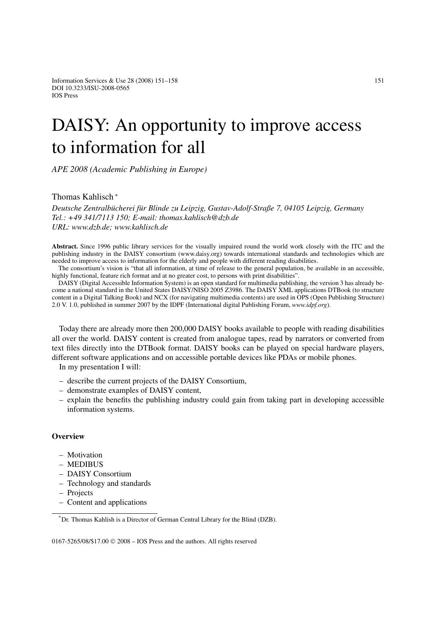# DAISY: An opportunity to improve access to information for all

*APE 2008 (Academic Publishing in Europe)*

# Thomas Kahlisch <sup>∗</sup>

*Deutsche Zentralbücherei für Blinde zu Leipzig, Gustav-Adolf-Straße 7, 04105 Leipzig, Germany Tel.: +49 341/7113 150; E-mail: thomas.kahlisch@dzb.de URL: www.dzb.de; www.kahlisch.de*

**Abstract.** Since 1996 public library services for the visually impaired round the world work closely with the ITC and the publishing industry in the DAISY consortium (www.daisy.org) towards international standards and technologies which are needed to improve access to information for the elderly and people with different reading disabilities.

The consortium's vision is "that all information, at time of release to the general population, be available in an accessible, highly functional, feature rich format and at no greater cost, to persons with print disabilities".

DAISY (Digital Accessible Information System) is an open standard for multimedia publishing, the version 3 has already become a national standard in the United States DAISY/NISO 2005 Z3986. The DAISY XML applications DTBook (to structure content in a Digital Talking Book) and NCX (for navigating multimedia contents) are used in OPS (Open Publishing Structure) 2.0 V. 1.0, published in summer 2007 by the IDPF (International digital Publishing Forum, *www.idpf.org*).

Today there are already more then 200,000 DAISY books available to people with reading disabilities all over the world. DAISY content is created from analogue tapes, read by narrators or converted from text files directly into the DTBook format. DAISY books can be played on special hardware players, different software applications and on accessible portable devices like PDAs or mobile phones.

In my presentation I will:

- describe the current projects of the DAISY Consortium,
- demonstrate examples of DAISY content,
- explain the benefits the publishing industry could gain from taking part in developing accessible information systems.

#### **Overview**

- Motivation
- MEDIBUS
- DAISY Consortium
- Technology and standards
- Projects
- Content and applications

0167-5265/08/\$17.00 © 2008 – IOS Press and the authors. All rights reserved

<sup>\*</sup>Dr. Thomas Kahlish is a Director of German Central Library for the Blind (DZB).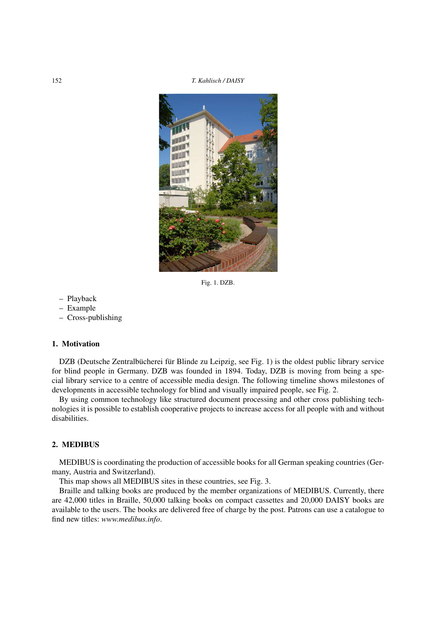

Fig. 1. DZB.

- Playback
- Example
- Cross-publishing

## **1. Motivation**

DZB (Deutsche Zentralbücherei für Blinde zu Leipzig, see Fig. 1) is the oldest public library service for blind people in Germany. DZB was founded in 1894. Today, DZB is moving from being a special library service to a centre of accessible media design. The following timeline shows milestones of developments in accessible technology for blind and visually impaired people, see Fig. 2.

By using common technology like structured document processing and other cross publishing technologies it is possible to establish cooperative projects to increase access for all people with and without disabilities.

# **2. MEDIBUS**

MEDIBUS is coordinating the production of accessible books for all German speaking countries (Germany, Austria and Switzerland).

This map shows all MEDIBUS sites in these countries, see Fig. 3.

Braille and talking books are produced by the member organizations of MEDIBUS. Currently, there are 42,000 titles in Braille, 50,000 talking books on compact cassettes and 20,000 DAISY books are available to the users. The books are delivered free of charge by the post. Patrons can use a catalogue to find new titles: *www.medibus.info*.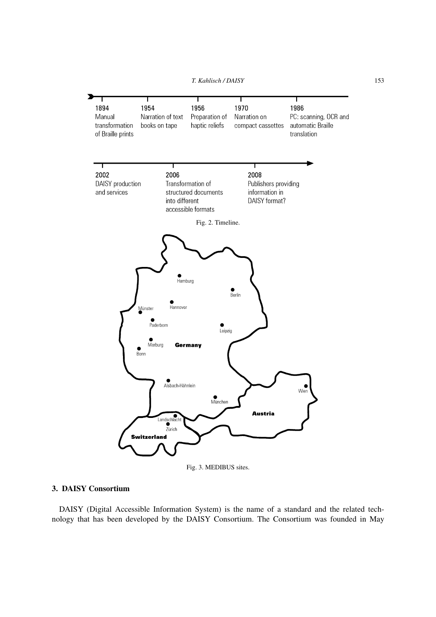*T. Kahlisch / DAISY* 153



Fig. 3. MEDIBUS sites.

# **3. DAISY Consortium**

DAISY (Digital Accessible Information System) is the name of a standard and the related technology that has been developed by the DAISY Consortium. The Consortium was founded in May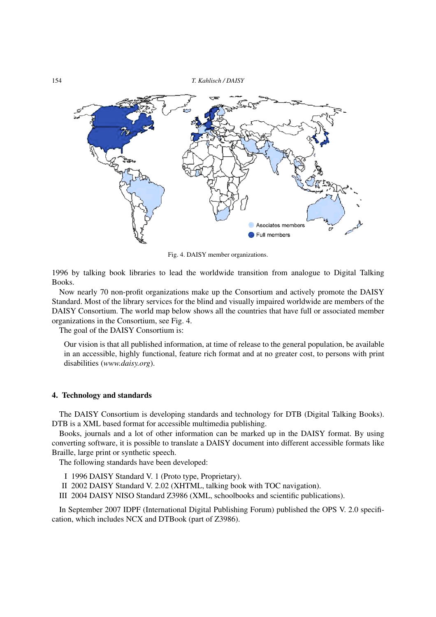

Fig. 4. DAISY member organizations.

1996 by talking book libraries to lead the worldwide transition from analogue to Digital Talking Books.

Now nearly 70 non-profit organizations make up the Consortium and actively promote the DAISY Standard. Most of the library services for the blind and visually impaired worldwide are members of the DAISY Consortium. The world map below shows all the countries that have full or associated member organizations in the Consortium, see Fig. 4.

The goal of the DAISY Consortium is:

Our vision is that all published information, at time of release to the general population, be available in an accessible, highly functional, feature rich format and at no greater cost, to persons with print disabilities (*www.daisy.org*).

#### **4. Technology and standards**

The DAISY Consortium is developing standards and technology for DTB (Digital Talking Books). DTB is a XML based format for accessible multimedia publishing.

Books, journals and a lot of other information can be marked up in the DAISY format. By using converting software, it is possible to translate a DAISY document into different accessible formats like Braille, large print or synthetic speech.

The following standards have been developed:

- I 1996 DAISY Standard V. 1 (Proto type, Proprietary).
- II 2002 DAISY Standard V. 2.02 (XHTML, talking book with TOC navigation).
- III 2004 DAISY NISO Standard Z3986 (XML, schoolbooks and scientific publications).

In September 2007 IDPF (International Digital Publishing Forum) published the OPS V. 2.0 specification, which includes NCX and DTBook (part of Z3986).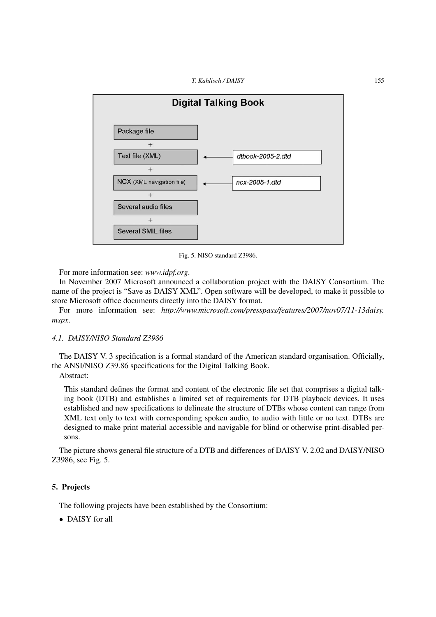

Fig. 5. NISO standard Z3986.

For more information see: *www.idpf.org*.

In November 2007 Microsoft announced a collaboration project with the DAISY Consortium. The name of the project is "Save as DAISY XML". Open software will be developed, to make it possible to store Microsoft office documents directly into the DAISY format.

For more information see: *http://www.microsoft.com/presspass/features/2007/nov07/11-13daisy. mspx*.

#### *4.1. DAISY/NISO Standard Z3986*

The DAISY V. 3 specification is a formal standard of the American standard organisation. Officially, the ANSI/NISO Z39.86 specifications for the Digital Talking Book.

Abstract:

This standard defines the format and content of the electronic file set that comprises a digital talking book (DTB) and establishes a limited set of requirements for DTB playback devices. It uses established and new specifications to delineate the structure of DTBs whose content can range from XML text only to text with corresponding spoken audio, to audio with little or no text. DTBs are designed to make print material accessible and navigable for blind or otherwise print-disabled persons.

The picture shows general file structure of a DTB and differences of DAISY V. 2.02 and DAISY/NISO Z3986, see Fig. 5.

#### **5. Projects**

The following projects have been established by the Consortium:

• DAISY for all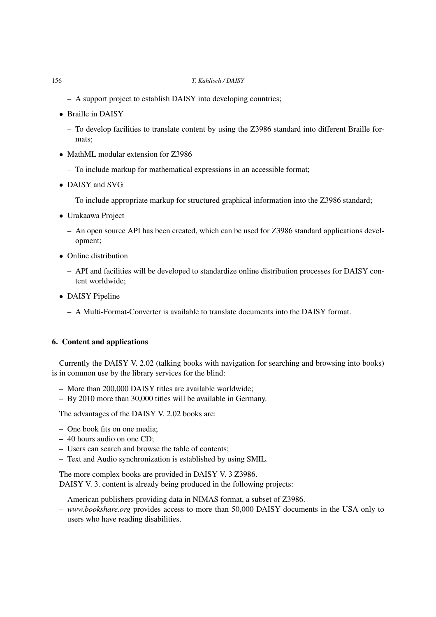- A support project to establish DAISY into developing countries;
- Braille in DAISY
	- To develop facilities to translate content by using the Z3986 standard into different Braille formats;
- MathML modular extension for Z3986
	- To include markup for mathematical expressions in an accessible format;
- DAISY and SVG
	- To include appropriate markup for structured graphical information into the Z3986 standard;
- Urakaawa Project
	- An open source API has been created, which can be used for Z3986 standard applications development;
- Online distribution
	- API and facilities will be developed to standardize online distribution processes for DAISY content worldwide;
- DAISY Pipeline
	- A Multi-Format-Converter is available to translate documents into the DAISY format.

# **6. Content and applications**

Currently the DAISY V. 2.02 (talking books with navigation for searching and browsing into books) is in common use by the library services for the blind:

- More than 200,000 DAISY titles are available worldwide;
- By 2010 more than 30,000 titles will be available in Germany.

The advantages of the DAISY V. 2.02 books are:

- One book fits on one media;
- 40 hours audio on one CD;
- Users can search and browse the table of contents;
- Text and Audio synchronization is established by using SMIL.

The more complex books are provided in DAISY V. 3 Z3986.

DAISY V. 3. content is already being produced in the following projects:

- American publishers providing data in NIMAS format, a subset of Z3986.
- *www.bookshare.org* provides access to more than 50,000 DAISY documents in the USA only to users who have reading disabilities.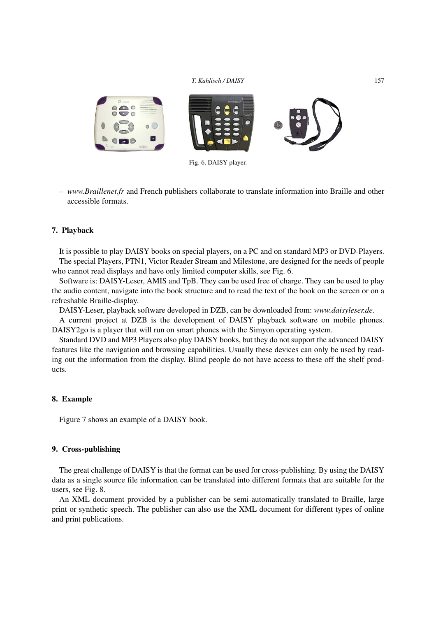

Fig. 6. DAISY player.

– *www.Braillenet.fr* and French publishers collaborate to translate information into Braille and other accessible formats.

#### **7. Playback**

It is possible to play DAISY books on special players, on a PC and on standard MP3 or DVD-Players. The special Players, PTN1, Victor Reader Stream and Milestone, are designed for the needs of people who cannot read displays and have only limited computer skills, see Fig. 6.

Software is: DAISY-Leser, AMIS and TpB. They can be used free of charge. They can be used to play the audio content, navigate into the book structure and to read the text of the book on the screen or on a refreshable Braille-display.

DAISY-Leser, playback software developed in DZB, can be downloaded from: *www.daisyleser.de*.

A current project at DZB is the development of DAISY playback software on mobile phones. DAISY2go is a player that will run on smart phones with the Simyon operating system.

Standard DVD and MP3 Players also play DAISY books, but they do not support the advanced DAISY features like the navigation and browsing capabilities. Usually these devices can only be used by reading out the information from the display. Blind people do not have access to these off the shelf products.

#### **8. Example**

Figure 7 shows an example of a DAISY book.

# **9. Cross-publishing**

The great challenge of DAISY is that the format can be used for cross-publishing. By using the DAISY data as a single source file information can be translated into different formats that are suitable for the users, see Fig. 8.

An XML document provided by a publisher can be semi-automatically translated to Braille, large print or synthetic speech. The publisher can also use the XML document for different types of online and print publications.